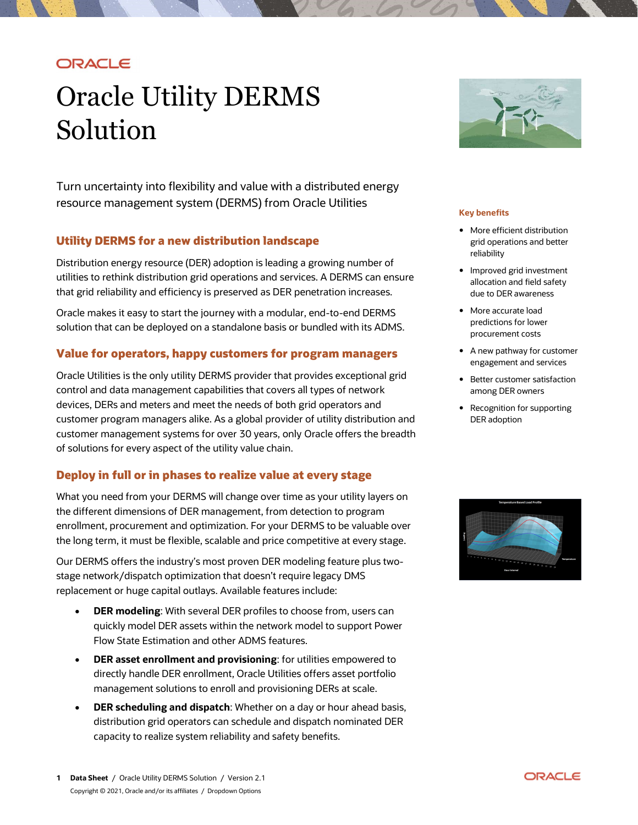# ORACLE

# Oracle Utility DERMS Solution

 Turn uncertainty into flexibility and value with a distributed energy resource management system (DERMS) from Oracle Utilities

### Utility DERMS for a new distribution landscape and statement of the grid operations and better

Distribution energy resource (DER) adoption is leading a growing number of Distribution energy resource (DER) adoption is leading <sup>a</sup> growing number of Improved grid investment utilities to rethink distribution grid operations and services. <sup>A</sup> DERMS can ensure allocation and field safety that grid reliability and efficiency is preserved as DER penetration increases. due to DER awareness

Oracle makes it easy to start the journey with a modular, end-to-end DERMS **•** More accurate load predictions for lower solution that can be deployed on a standalone basis or bundled with its ADMS.

# Value for operators, happy customers for program managers **example 19 A new pathway for customer**<br>engagement and services

Oracle Utilities is the only utility DERMS provider that provides exceptional grid **Solution Constants** Better customer satisfaction control and data management capabilities that covers all types of network **coming that in** among DER owners devices, DERs and meters and meet the needs of both grid operators and same are cognition for supporting customer program managers alike. As a global provider of utility distribution and  $\hskip10mm \text{DER}$  adoption customer management systems for over 30 years, only Oracle offers the breadth of solutions for every aspect of the utility value chain.

## Deploy in full or in phases to realize value at every stage

 What you need from your DERMS will change over time as your utility layers on the different dimensions of DER management, from detection to program enrollment, procurement and optimization. For your DERMS to be valuable over the long term, it must be flexible, scalable and price competitive at every stage.

 Our DERMS offers the industry's most proven DER modeling feature plus two- stage network/dispatch optimization that doesn't require legacy DMS replacement or huge capital outlays. Available features include:

- DER modeling: With several DER profiles to choose from, users can quickly model DER assets within the network model to support Power Flow State Estimation and other ADMS features.
- **DER asset enrollment and provisioning:** for utilities empowered to directly handle DER enrollment, Oracle Utilities offers asset portfolio management solutions to enroll and provisioning DERs at scale.
- DER scheduling and dispatch: Whether on a day or hour ahead basis, distribution grid operators can schedule and dispatch nominated DER capacity to realize system reliability and safety benefits.



#### Key benefits

- More efficient distribution grid operations and better reliability
- Improved grid investment allocation and field safety due to DER awareness
- More accurate load predictions for lower procurement costs
- A new pathway for customer engagement and services
- Better customer satisfaction among DER owners
- Recognition for supporting DER adoption